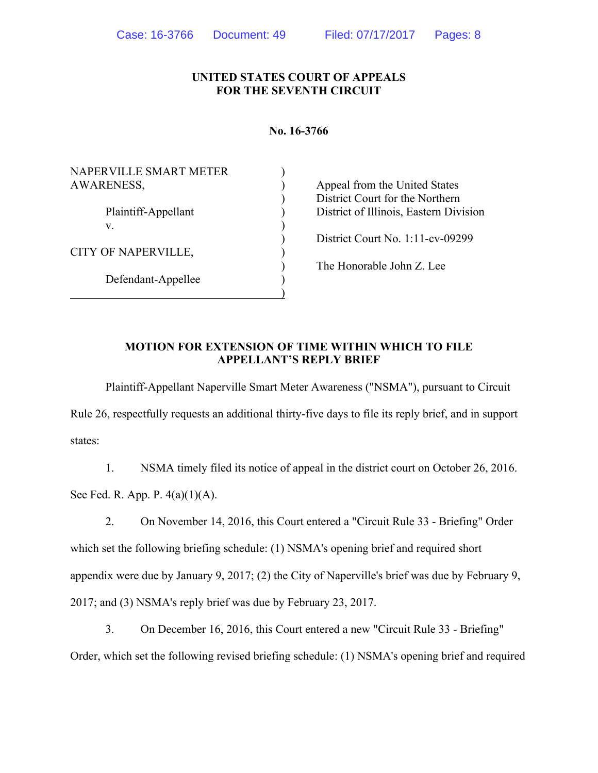### **UNITED STATES COURT OF APPEALS FOR THE SEVENTH CIRCUIT**

#### **No. 16-3766**

| NAPERVILLE SMART METER |                                        |
|------------------------|----------------------------------------|
| <b>AWARENESS,</b>      | Appeal from the United States          |
|                        | District Court for the Northern        |
| Plaintiff-Appellant    | District of Illinois, Eastern Division |
| V.                     |                                        |
|                        | District Court No. $1:11$ -cv-09299    |
| CITY OF NAPERVILLE,    |                                        |
|                        | The Honorable John Z. Lee              |
| Defendant-Appellee     |                                        |
|                        |                                        |

### **MOTION FOR EXTENSION OF TIME WITHIN WHICH TO FILE APPELLANT'S REPLY BRIEF**

Plaintiff-Appellant Naperville Smart Meter Awareness ("NSMA"), pursuant to Circuit Rule 26, respectfully requests an additional thirty-five days to file its reply brief, and in support states:

1. NSMA timely filed its notice of appeal in the district court on October 26, 2016. See Fed. R. App. P. 4(a)(1)(A).

2. On November 14, 2016, this Court entered a "Circuit Rule 33 - Briefing" Order which set the following briefing schedule: (1) NSMA's opening brief and required short appendix were due by January 9, 2017; (2) the City of Naperville's brief was due by February 9, 2017; and (3) NSMA's reply brief was due by February 23, 2017.

3. On December 16, 2016, this Court entered a new "Circuit Rule 33 - Briefing" Order, which set the following revised briefing schedule: (1) NSMA's opening brief and required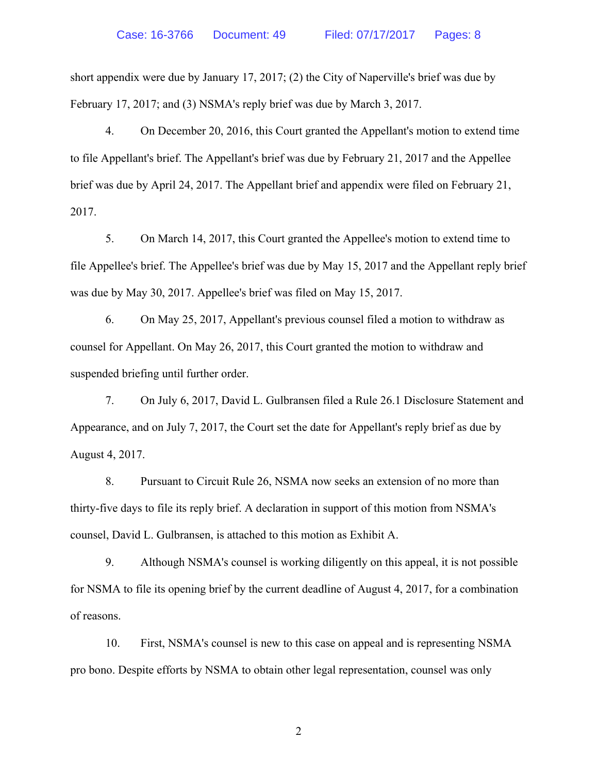short appendix were due by January 17, 2017; (2) the City of Naperville's brief was due by February 17, 2017; and (3) NSMA's reply brief was due by March 3, 2017.

4. On December 20, 2016, this Court granted the Appellant's motion to extend time to file Appellant's brief. The Appellant's brief was due by February 21, 2017 and the Appellee brief was due by April 24, 2017. The Appellant brief and appendix were filed on February 21, 2017.

5. On March 14, 2017, this Court granted the Appellee's motion to extend time to file Appellee's brief. The Appellee's brief was due by May 15, 2017 and the Appellant reply brief was due by May 30, 2017. Appellee's brief was filed on May 15, 2017.

6. On May 25, 2017, Appellant's previous counsel filed a motion to withdraw as counsel for Appellant. On May 26, 2017, this Court granted the motion to withdraw and suspended briefing until further order.

7. On July 6, 2017, David L. Gulbransen filed a Rule 26.1 Disclosure Statement and Appearance, and on July 7, 2017, the Court set the date for Appellant's reply brief as due by August 4, 2017.

8. Pursuant to Circuit Rule 26, NSMA now seeks an extension of no more than thirty-five days to file its reply brief. A declaration in support of this motion from NSMA's counsel, David L. Gulbransen, is attached to this motion as Exhibit A.

9. Although NSMA's counsel is working diligently on this appeal, it is not possible for NSMA to file its opening brief by the current deadline of August 4, 2017, for a combination of reasons.

10. First, NSMA's counsel is new to this case on appeal and is representing NSMA pro bono. Despite efforts by NSMA to obtain other legal representation, counsel was only

2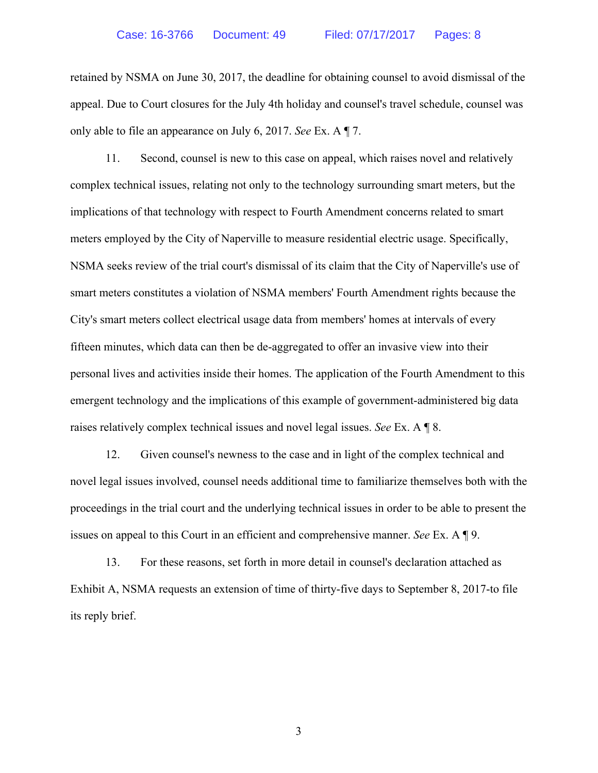retained by NSMA on June 30, 2017, the deadline for obtaining counsel to avoid dismissal of the appeal. Due to Court closures for the July 4th holiday and counsel's travel schedule, counsel was only able to file an appearance on July 6, 2017. *See* Ex. A ¶ 7.

11. Second, counsel is new to this case on appeal, which raises novel and relatively complex technical issues, relating not only to the technology surrounding smart meters, but the implications of that technology with respect to Fourth Amendment concerns related to smart meters employed by the City of Naperville to measure residential electric usage. Specifically, NSMA seeks review of the trial court's dismissal of its claim that the City of Naperville's use of smart meters constitutes a violation of NSMA members' Fourth Amendment rights because the City's smart meters collect electrical usage data from members' homes at intervals of every fifteen minutes, which data can then be de-aggregated to offer an invasive view into their personal lives and activities inside their homes. The application of the Fourth Amendment to this emergent technology and the implications of this example of government-administered big data raises relatively complex technical issues and novel legal issues. *See* Ex. A ¶ 8.

12. Given counsel's newness to the case and in light of the complex technical and novel legal issues involved, counsel needs additional time to familiarize themselves both with the proceedings in the trial court and the underlying technical issues in order to be able to present the issues on appeal to this Court in an efficient and comprehensive manner. *See* Ex. A ¶ 9.

13. For these reasons, set forth in more detail in counsel's declaration attached as Exhibit A, NSMA requests an extension of time of thirty-five days to September 8, 2017-to file its reply brief.

3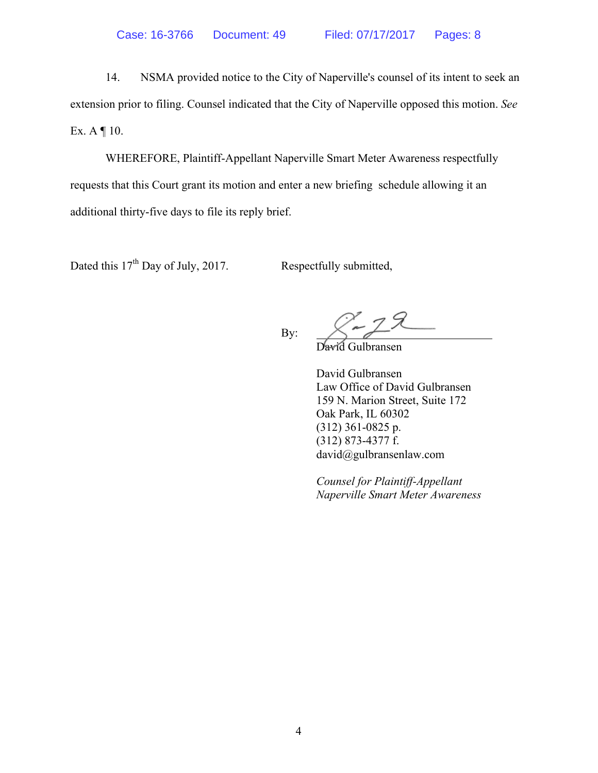14. NSMA provided notice to the City of Naperville's counsel of its intent to seek an extension prior to filing. Counsel indicated that the City of Naperville opposed this motion. *See* Ex.  $A \parallel 10$ .

WHEREFORE, Plaintiff-Appellant Naperville Smart Meter Awareness respectfully requests that this Court grant its motion and enter a new briefing schedule allowing it an additional thirty-five days to file its reply brief.

Dated this  $17<sup>th</sup>$  Day of July, 2017. Respectfully submitted,

By:

David Gulbransen

David Gulbransen Law Office of David Gulbransen 159 N. Marion Street, Suite 172 Oak Park, IL 60302 (312) 361-0825 p. (312) 873-4377 f. david@gulbransenlaw.com

 *Counsel for Plaintiff-Appellant Naperville Smart Meter Awareness*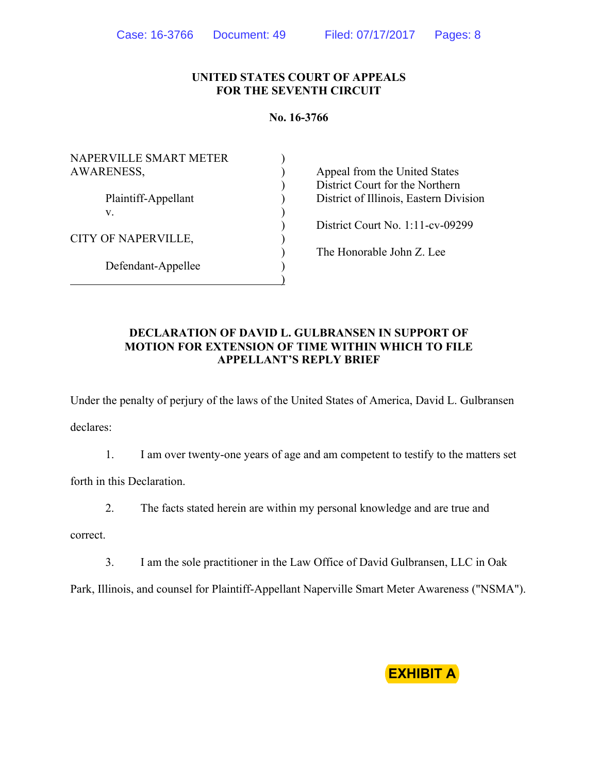#### **UNITED STATES COURT OF APPEALS FOR THE SEVENTH CIRCUIT**

#### **No. 16-3766**

| NAPERVILLE SMART METER<br><b>AWARENESS,</b> |  |
|---------------------------------------------|--|
| Plaintiff-Appellant<br>V                    |  |
| CITY OF NAPERVILLE,                         |  |
| Defendant-Appellee                          |  |

) Appeal from the United States ) District Court for the Northern ) District of Illinois, Eastern Division

) District Court No. 1:11-cv-09299

) The Honorable John Z. Lee

### **DECLARATION OF DAVID L. GULBRANSEN IN SUPPORT OF MOTION FOR EXTENSION OF TIME WITHIN WHICH TO FILE APPELLANT'S REPLY BRIEF**

 $\overline{)}$ 

Under the penalty of perjury of the laws of the United States of America, David L. Gulbransen declares:

1. I am over twenty-one years of age and am competent to testify to the matters set

forth in this Declaration.

2. The facts stated herein are within my personal knowledge and are true and

correct.

3. I am the sole practitioner in the Law Office of David Gulbransen, LLC in Oak

Park, Illinois, and counsel for Plaintiff-Appellant Naperville Smart Meter Awareness ("NSMA").

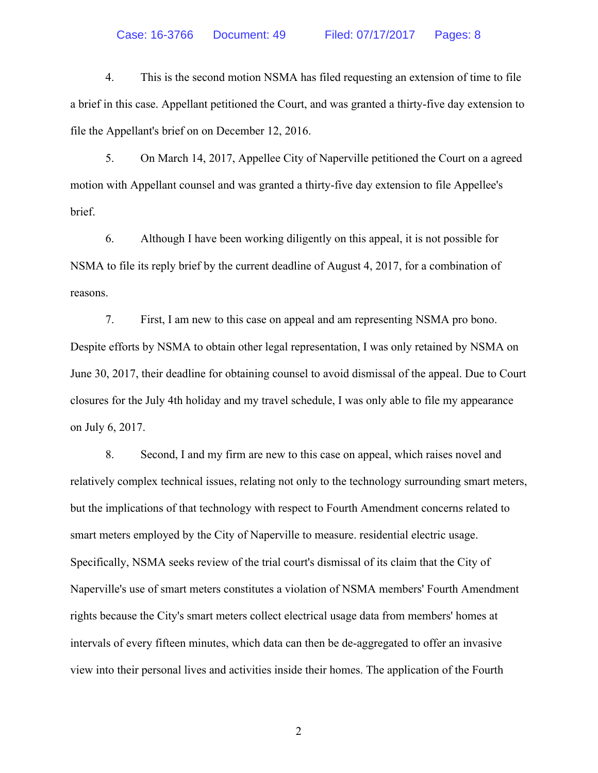4. This is the second motion NSMA has filed requesting an extension of time to file a brief in this case. Appellant petitioned the Court, and was granted a thirty-five day extension to file the Appellant's brief on on December 12, 2016.

5. On March 14, 2017, Appellee City of Naperville petitioned the Court on a agreed motion with Appellant counsel and was granted a thirty-five day extension to file Appellee's brief.

6. Although I have been working diligently on this appeal, it is not possible for NSMA to file its reply brief by the current deadline of August 4, 2017, for a combination of reasons.

7. First, I am new to this case on appeal and am representing NSMA pro bono. Despite efforts by NSMA to obtain other legal representation, I was only retained by NSMA on June 30, 2017, their deadline for obtaining counsel to avoid dismissal of the appeal. Due to Court closures for the July 4th holiday and my travel schedule, I was only able to file my appearance on July 6, 2017.

8. Second, I and my firm are new to this case on appeal, which raises novel and relatively complex technical issues, relating not only to the technology surrounding smart meters, but the implications of that technology with respect to Fourth Amendment concerns related to smart meters employed by the City of Naperville to measure. residential electric usage. Specifically, NSMA seeks review of the trial court's dismissal of its claim that the City of Naperville's use of smart meters constitutes a violation of NSMA members' Fourth Amendment rights because the City's smart meters collect electrical usage data from members' homes at intervals of every fifteen minutes, which data can then be de-aggregated to offer an invasive view into their personal lives and activities inside their homes. The application of the Fourth

2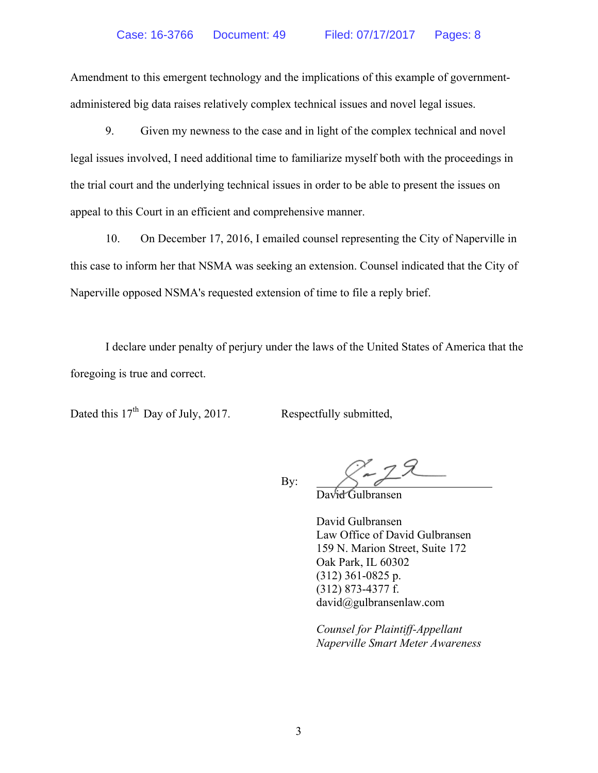Amendment to this emergent technology and the implications of this example of governmentadministered big data raises relatively complex technical issues and novel legal issues.

9. Given my newness to the case and in light of the complex technical and novel legal issues involved, I need additional time to familiarize myself both with the proceedings in the trial court and the underlying technical issues in order to be able to present the issues on appeal to this Court in an efficient and comprehensive manner.

10. On December 17, 2016, I emailed counsel representing the City of Naperville in this case to inform her that NSMA was seeking an extension. Counsel indicated that the City of Naperville opposed NSMA's requested extension of time to file a reply brief.

I declare under penalty of perjury under the laws of the United States of America that the foregoing is true and correct.

Dated this  $17<sup>th</sup>$  Day of July, 2017. Respectfully submitted,

By:

David Gulbransen

David Gulbransen Law Office of David Gulbransen 159 N. Marion Street, Suite 172 Oak Park, IL 60302 (312) 361-0825 p. (312) 873-4377 f. david@gulbransenlaw.com

 *Counsel for Plaintiff-Appellant Naperville Smart Meter Awareness*